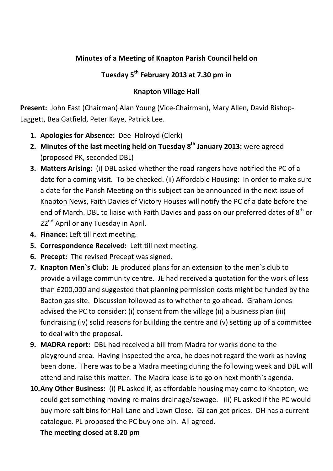## **Minutes of a Meeting of Knapton Parish Council held on**

## **Tuesday 5th February 2013 at 7.30 pm in**

## **Knapton Village Hall**

**Present:** John East (Chairman) Alan Young (Vice-Chairman), Mary Allen, David Bishop-Laggett, Bea Gatfield, Peter Kaye, Patrick Lee.

- **1. Apologies for Absence:** Dee Holroyd (Clerk)
- **2. Minutes of the last meeting held on Tuesday 8<sup>th</sup> January 2013: were agreed** (proposed PK, seconded DBL)
- **3. Matters Arising:** (i) DBL asked whether the road rangers have notified the PC of a date for a coming visit. To be checked. (ii) Affordable Housing: In order to make sure a date for the Parish Meeting on this subject can be announced in the next issue of Knapton News, Faith Davies of Victory Houses will notify the PC of a date before the end of March. DBL to liaise with Faith Davies and pass on our preferred dates of  $8^{\text{th}}$  or 22<sup>nd</sup> April or any Tuesday in April.
- **4. Finance:** Left till next meeting.
- **5. Correspondence Received:** Left till next meeting.
- **6. Precept:** The revised Precept was signed.
- **7. Knapton Men`s Club:** JE produced plans for an extension to the men`s club to provide a village community centre. JE had received a quotation for the work of less than £200,000 and suggested that planning permission costs might be funded by the Bacton gas site. Discussion followed as to whether to go ahead. Graham Jones advised the PC to consider: (i) consent from the village (ii) a business plan (iii) fundraising (iv) solid reasons for building the centre and (v) setting up of a committee to deal with the proposal.
- **9. MADRA report:** DBL had received a bill from Madra for works done to the playground area. Having inspected the area, he does not regard the work as having been done. There was to be a Madra meeting during the following week and DBL will attend and raise this matter. The Madra lease is to go on next month`s agenda.
- **10.Any Other Business:** (i) PL asked if, as affordable housing may come to Knapton, we could get something moving re mains drainage/sewage. (ii) PL asked if the PC would buy more salt bins for Hall Lane and Lawn Close. GJ can get prices.DH has a current catalogue. PL proposed the PC buy one bin. All agreed.

**The meeting closed at 8.20 pm**